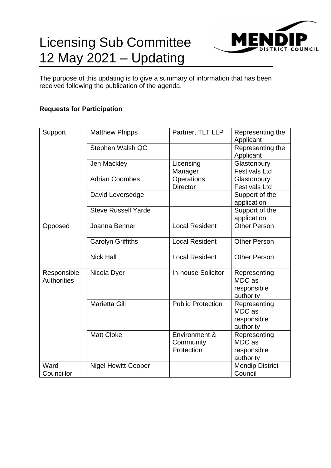# Licensing Sub Committee 12 May 2021 – Updating



The purpose of this updating is to give a summary of information that has been received following the publication of the agenda.

# **Requests for Participation**

| Support            | <b>Matthew Phipps</b>      | Partner, TLT LLP          | Representing the       |
|--------------------|----------------------------|---------------------------|------------------------|
|                    |                            |                           | Applicant              |
|                    | Stephen Walsh QC           |                           | Representing the       |
|                    |                            |                           | Applicant              |
|                    | Jen Mackley                | Licensing                 | Glastonbury            |
|                    |                            | Manager                   | <b>Festivals Ltd</b>   |
|                    | <b>Adrian Coombes</b>      | Operations                | Glastonbury            |
|                    |                            | <b>Director</b>           | <b>Festivals Ltd</b>   |
|                    | David Leversedge           |                           | Support of the         |
|                    |                            |                           | application            |
|                    | <b>Steve Russell Yarde</b> |                           | Support of the         |
|                    |                            |                           | application            |
| Opposed            | Joanna Benner              | <b>Local Resident</b>     | <b>Other Person</b>    |
|                    |                            |                           |                        |
|                    | <b>Carolyn Griffiths</b>   | <b>Local Resident</b>     | <b>Other Person</b>    |
|                    |                            |                           |                        |
|                    | <b>Nick Hall</b>           | <b>Local Resident</b>     | <b>Other Person</b>    |
|                    |                            |                           |                        |
| Responsible        | Nicola Dyer                | <b>In-house Solicitor</b> | Representing           |
| <b>Authorities</b> |                            |                           | MDC as                 |
|                    |                            |                           | responsible            |
|                    |                            |                           | authority              |
|                    | <b>Marietta Gill</b>       | <b>Public Protection</b>  | Representing           |
|                    |                            |                           | MDC as                 |
|                    |                            |                           | responsible            |
|                    |                            |                           | authority              |
|                    | <b>Matt Cloke</b>          | Environment &             | Representing           |
|                    |                            | Community                 | MDC as                 |
|                    |                            | Protection                | responsible            |
|                    |                            |                           | authority              |
| Ward               | <b>Nigel Hewitt-Cooper</b> |                           | <b>Mendip District</b> |
|                    |                            |                           |                        |
| Councillor         |                            |                           | Council                |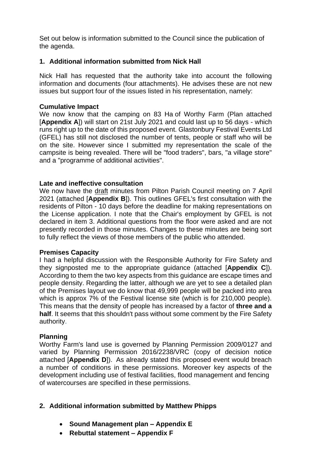Set out below is information submitted to the Council since the publication of the agenda.

## **1. Additional information submitted from Nick Hall**

Nick Hall has requested that the authority take into account the following information and documents (four attachments). He advises these are not new issues but support four of the issues listed in his representation, namely:

## **Cumulative Impact**

We now know that the camping on 83 Ha of Worthy Farm (Plan attached [**Appendix A**]) will start on 21st July 2021 and could last up to 56 days - which runs right up to the date of this proposed event. Glastonbury Festival Events Ltd (GFEL) has still not disclosed the number of tents, people or staff who will be on the site. However since I submitted my representation the scale of the campsite is being revealed. There will be "food traders", bars, "a village store" and a "programme of additional activities".

## **Late and ineffective consultation**

We now have the draft minutes from Pilton Parish Council meeting on 7 April 2021 (attached [**Appendix B**]). This outlines GFEL's first consultation with the residents of Pilton - 10 days before the deadline for making representations on the License application. I note that the Chair's employment by GFEL is not declared in item 3. Additional questions from the floor were asked and are not presently recorded in those minutes. Changes to these minutes are being sort to fully reflect the views of those members of the public who attended.

#### **Premises Capacity**

I had a helpful discussion with the Responsible Authority for Fire Safety and they signposted me to the appropriate guidance (attached [**Appendix C**]). According to them the two key aspects from this guidance are escape times and people density. Regarding the latter, although we are yet to see a detailed plan of the Premises layout we do know that 49,999 people will be packed into area which is approx 7% of the Festival license site (which is for 210,000 people). This means that the density of people has increased by a factor of **three and a half**. It seems that this shouldn't pass without some comment by the Fire Safety authority.

#### **Planning**

Worthy Farm's land use is governed by Planning Permission 2009/0127 and varied by Planning Permission 2016/2238/VRC (copy of decision notice attached [**Appendix D**]). As already stated this proposed event would breach a number of conditions in these permissions. Moreover key aspects of the development including use of festival facilities, flood management and fencing of watercourses are specified in these permissions.

## **2. Additional information submitted by Matthew Phipps**

- **Sound Management plan – Appendix E**
- **Rebuttal statement – Appendix F**